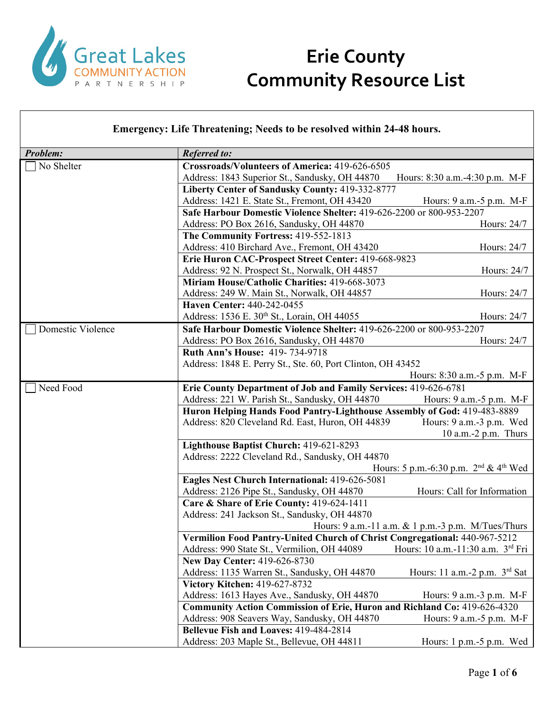

| <b>Emergency: Life Threatening; Needs to be resolved within 24-48 hours.</b> |                                                                                              |  |  |
|------------------------------------------------------------------------------|----------------------------------------------------------------------------------------------|--|--|
| Problem:                                                                     | <b>Referred to:</b>                                                                          |  |  |
| No Shelter                                                                   | Crossroads/Volunteers of America: 419-626-6505                                               |  |  |
|                                                                              | Address: 1843 Superior St., Sandusky, OH 44870<br>Hours: 8:30 a.m.-4:30 p.m. M-F             |  |  |
|                                                                              | Liberty Center of Sandusky County: 419-332-8777                                              |  |  |
|                                                                              | Address: 1421 E. State St., Fremont, OH 43420<br>Hours: 9 a.m. -5 p.m. M-F                   |  |  |
|                                                                              | Safe Harbour Domestic Violence Shelter: 419-626-2200 or 800-953-2207                         |  |  |
|                                                                              | Address: PO Box 2616, Sandusky, OH 44870<br>Hours: 24/7                                      |  |  |
|                                                                              | The Community Fortress: 419-552-1813                                                         |  |  |
|                                                                              | Address: 410 Birchard Ave., Fremont, OH 43420<br>Hours: 24/7                                 |  |  |
|                                                                              | Erie Huron CAC-Prospect Street Center: 419-668-9823                                          |  |  |
|                                                                              | Address: 92 N. Prospect St., Norwalk, OH 44857<br>Hours: 24/7                                |  |  |
|                                                                              | Miriam House/Catholic Charities: 419-668-3073                                                |  |  |
|                                                                              | Address: 249 W. Main St., Norwalk, OH 44857<br>Hours: 24/7                                   |  |  |
|                                                                              | Haven Center: 440-242-0455                                                                   |  |  |
|                                                                              | Address: 1536 E. 30th St., Lorain, OH 44055<br>Hours: 24/7                                   |  |  |
| Domestic Violence                                                            | <b>Safe Harbour Domestic Violence Shelter: 419-626-2200 or 800-953-2207</b>                  |  |  |
|                                                                              | Hours: 24/7<br>Address: PO Box 2616, Sandusky, OH 44870                                      |  |  |
|                                                                              | <b>Ruth Ann's House: 419-734-9718</b>                                                        |  |  |
|                                                                              | Address: 1848 E. Perry St., Ste. 60, Port Clinton, OH 43452                                  |  |  |
|                                                                              | Hours: 8:30 a.m. -5 p.m. M-F                                                                 |  |  |
| Need Food                                                                    | Erie County Department of Job and Family Services: 419-626-6781                              |  |  |
|                                                                              | Address: 221 W. Parish St., Sandusky, OH 44870<br>Hours: 9 a.m. - 5 p.m. M-F                 |  |  |
|                                                                              | Huron Helping Hands Food Pantry-Lighthouse Assembly of God: 419-483-8889                     |  |  |
|                                                                              | Address: 820 Cleveland Rd. East, Huron, OH 44839<br>Hours: 9 a.m.-3 p.m. Wed                 |  |  |
|                                                                              | $10$ a.m.- $2$ p.m. Thurs                                                                    |  |  |
|                                                                              | Lighthouse Baptist Church: 419-621-8293                                                      |  |  |
|                                                                              | Address: 2222 Cleveland Rd., Sandusky, OH 44870                                              |  |  |
|                                                                              | Hours: 5 p.m.-6:30 p.m. $2^{nd}$ & 4 <sup>th</sup> Wed                                       |  |  |
|                                                                              | Eagles Nest Church International: 419-626-5081                                               |  |  |
|                                                                              | Address: 2126 Pipe St., Sandusky, OH 44870<br>Hours: Call for Information                    |  |  |
|                                                                              | Care & Share of Erie County: 419-624-1411                                                    |  |  |
|                                                                              | Address: 241 Jackson St., Sandusky, OH 44870                                                 |  |  |
|                                                                              | Hours: 9 a.m.-11 a.m. & 1 p.m.-3 p.m. M/Tues/Thurs                                           |  |  |
|                                                                              | Vermilion Food Pantry-United Church of Christ Congregational: 440-967-5212                   |  |  |
|                                                                              | Address: 990 State St., Vermilion, OH 44089<br>Hours: 10 a.m.-11:30 a.m. 3 <sup>rd</sup> Fri |  |  |
|                                                                              | New Day Center: 419-626-8730                                                                 |  |  |
|                                                                              | Address: 1135 Warren St., Sandusky, OH 44870<br>Hours: 11 a.m.-2 p.m. $3rd$ Sat              |  |  |
|                                                                              | Victory Kitchen: 419-627-8732                                                                |  |  |
|                                                                              | Address: 1613 Hayes Ave., Sandusky, OH 44870<br>Hours: 9 a.m. - 3 p.m. M-F                   |  |  |
|                                                                              | Community Action Commission of Erie, Huron and Richland Co: 419-626-4320                     |  |  |
|                                                                              | Address: 908 Seavers Way, Sandusky, OH 44870<br>Hours: 9 a.m. - 5 p.m. M-F                   |  |  |
|                                                                              | Bellevue Fish and Loaves: 419-484-2814                                                       |  |  |
|                                                                              | Address: 203 Maple St., Bellevue, OH 44811<br>Hours: $1 p.m.-5 p.m.$ Wed                     |  |  |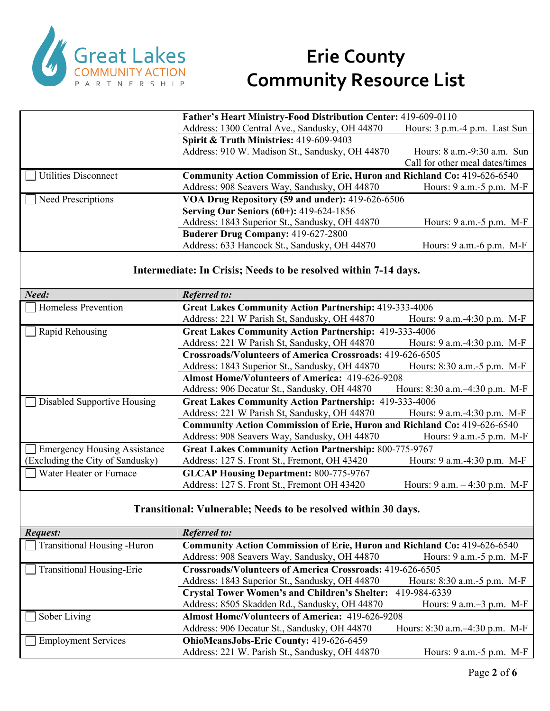

|                      | Father's Heart Ministry-Food Distribution Center: 419-609-0110           |                                  |
|----------------------|--------------------------------------------------------------------------|----------------------------------|
|                      | Address: 1300 Central Ave., Sandusky, OH 44870                           | Hours: 3 p.m.-4 p.m. Last Sun    |
|                      | Spirit & Truth Ministries: 419-609-9403                                  |                                  |
|                      | Address: 910 W. Madison St., Sandusky, OH 44870                          | Hours: $8$ a.m. $-9:30$ a.m. Sun |
|                      |                                                                          | Call for other meal dates/times  |
| Utilities Disconnect | Community Action Commission of Erie, Huron and Richland Co: 419-626-6540 |                                  |
|                      | Address: 908 Seavers Way, Sandusky, OH 44870                             | Hours: $9$ a.m.- $5$ p.m. M-F    |
| Need Prescriptions   | VOA Drug Repository (59 and under): 419-626-6506                         |                                  |
|                      | Serving Our Seniors (60+): 419-624-1856                                  |                                  |
|                      | Address: 1843 Superior St., Sandusky, OH 44870                           | Hours: 9 a.m. -5 p.m. M-F        |
|                      | <b>Buderer Drug Company: 419-627-2800</b>                                |                                  |
|                      | Address: 633 Hancock St., Sandusky, OH 44870                             | Hours: 9 a.m. -6 p.m. M-F        |
|                      |                                                                          |                                  |

#### **Intermediate: In Crisis; Needs to be resolved within 7-14 days.**

| Need:                               | <b>Referred to:</b>                                                      |                                  |  |
|-------------------------------------|--------------------------------------------------------------------------|----------------------------------|--|
| Homeless Prevention                 | <b>Great Lakes Community Action Partnership: 419-333-4006</b>            |                                  |  |
|                                     | Address: 221 W Parish St, Sandusky, OH 44870                             | Hours: 9 a.m.-4:30 p.m. M-F      |  |
| Rapid Rehousing                     | <b>Great Lakes Community Action Partnership: 419-333-4006</b>            |                                  |  |
|                                     | Address: 221 W Parish St, Sandusky, OH 44870                             | Hours: 9 a.m.-4:30 p.m. M-F      |  |
|                                     | Crossroads/Volunteers of America Crossroads: 419-626-6505                |                                  |  |
|                                     | Address: 1843 Superior St., Sandusky, OH 44870                           | Hours: 8:30 a.m. - 5 p.m. M-F    |  |
|                                     | <b>Almost Home/Volunteers of America: 419-626-9208</b>                   |                                  |  |
|                                     | Address: 906 Decatur St., Sandusky, OH 44870                             | Hours: 8:30 a.m.-4:30 p.m. M-F   |  |
| Disabled Supportive Housing         | <b>Great Lakes Community Action Partnership: 419-333-4006</b>            |                                  |  |
|                                     | Address: 221 W Parish St, Sandusky, OH 44870                             | Hours: 9 a.m. -4:30 p.m. M-F     |  |
|                                     | Community Action Commission of Erie, Huron and Richland Co: 419-626-6540 |                                  |  |
|                                     | Address: 908 Seavers Way, Sandusky, OH 44870                             | Hours: $9$ a.m. $-5$ p.m. M-F    |  |
| <b>Emergency Housing Assistance</b> | <b>Great Lakes Community Action Partnership: 800-775-9767</b>            |                                  |  |
| (Excluding the City of Sandusky)    | Address: 127 S. Front St., Fremont, OH 43420                             | Hours: $9$ a.m. $-4:30$ p.m. M-F |  |
| Water Heater or Furnace             | <b>GLCAP Housing Department: 800-775-9767</b>                            |                                  |  |
|                                     | Address: 127 S. Front St., Fremont OH 43420                              | Hours: $9$ a.m. $-4:30$ p.m. M-F |  |

#### **Transitional: Vulnerable; Needs to be resolved within 30 days.**

| <b>Request:</b>                    | <b>Referred to:</b>                                                             |                                |
|------------------------------------|---------------------------------------------------------------------------------|--------------------------------|
| $\Box$ Transitional Housing -Huron | <b>Community Action Commission of Erie, Huron and Richland Co: 419-626-6540</b> |                                |
|                                    | Address: 908 Seavers Way, Sandusky, OH 44870                                    | Hours: 9 a.m. - 5 p.m. M-F     |
| $\Box$ Transitional Housing-Erie   | Crossroads/Volunteers of America Crossroads: 419-626-6505                       |                                |
|                                    | Address: 1843 Superior St., Sandusky, OH 44870                                  | Hours: 8:30 a.m. -5 p.m. M-F   |
|                                    | Crystal Tower Women's and Children's Shelter: 419-984-6339                      |                                |
|                                    | Address: 8505 Skadden Rd., Sandusky, OH 44870                                   | Hours: 9 a.m.–3 p.m. M-F       |
| $\Box$ Sober Living                | <b>Almost Home/Volunteers of America: 419-626-9208</b>                          |                                |
|                                    | Address: 906 Decatur St., Sandusky, OH 44870                                    | Hours: 8:30 a.m.-4:30 p.m. M-F |
| Employment Services                | OhioMeansJobs-Erie County: 419-626-6459                                         |                                |
|                                    | Address: 221 W. Parish St., Sandusky, OH 44870                                  | Hours: 9 a.m. - 5 p.m. M-F     |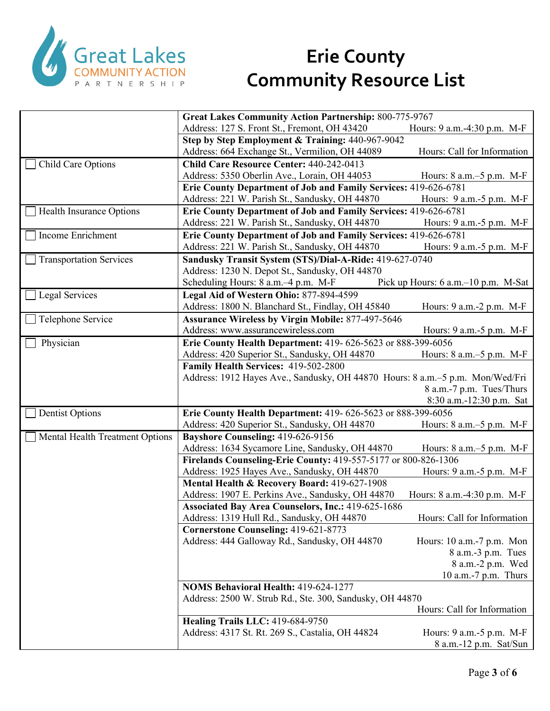

|                                 | <b>Great Lakes Community Action Partnership: 800-775-9767</b>                 |                                     |
|---------------------------------|-------------------------------------------------------------------------------|-------------------------------------|
|                                 | Address: 127 S. Front St., Fremont, OH 43420                                  | Hours: 9 a.m.-4:30 p.m. M-F         |
|                                 | Step by Step Employment & Training: 440-967-9042                              |                                     |
|                                 | Address: 664 Exchange St., Vermilion, OH 44089                                | Hours: Call for Information         |
| Child Care Options              | Child Care Resource Center: 440-242-0413                                      |                                     |
|                                 | Address: 5350 Oberlin Ave., Lorain, OH 44053                                  | Hours: $8$ a.m. $-5$ p.m. M-F       |
|                                 | Erie County Department of Job and Family Services: 419-626-6781               |                                     |
|                                 | Address: 221 W. Parish St., Sandusky, OH 44870                                | Hours: 9 a.m.-5 p.m. M-F            |
| <b>Health Insurance Options</b> | Erie County Department of Job and Family Services: 419-626-6781               |                                     |
|                                 | Address: 221 W. Parish St., Sandusky, OH 44870                                | Hours: 9 a.m.-5 p.m. M-F            |
| Income Enrichment               | Erie County Department of Job and Family Services: 419-626-6781               |                                     |
|                                 | Address: 221 W. Parish St., Sandusky, OH 44870                                | Hours: 9 a.m. - 5 p.m. M-F          |
| <b>Transportation Services</b>  | Sandusky Transit System (STS)/Dial-A-Ride: 419-627-0740                       |                                     |
|                                 | Address: 1230 N. Depot St., Sandusky, OH 44870                                |                                     |
|                                 | Scheduling Hours: 8 a.m. -4 p.m. M-F                                          | Pick up Hours: 6 a.m.–10 p.m. M-Sat |
| Legal Services                  | Legal Aid of Western Ohio: 877-894-4599                                       |                                     |
|                                 | Address: 1800 N. Blanchard St., Findlay, OH 45840                             | Hours: 9 a.m.-2 p.m. M-F            |
| Telephone Service               | <b>Assurance Wireless by Virgin Mobile: 877-497-5646</b>                      |                                     |
|                                 | Address: www.assurancewireless.com                                            | Hours: 9 a.m. - 5 p.m. M-F          |
| Physician                       | Erie County Health Department: 419- 626-5623 or 888-399-6056                  |                                     |
|                                 | Address: 420 Superior St., Sandusky, OH 44870                                 | Hours: $8$ a.m. $-5$ p.m. M-F       |
|                                 | Family Health Services: 419-502-2800                                          |                                     |
|                                 | Address: 1912 Hayes Ave., Sandusky, OH 44870 Hours: 8 a.m.-5 p.m. Mon/Wed/Fri |                                     |
|                                 |                                                                               | 8 a.m.-7 p.m. Tues/Thurs            |
|                                 |                                                                               | 8:30 a.m.-12:30 p.m. Sat            |
| <b>Dentist Options</b>          | Erie County Health Department: 419- 626-5623 or 888-399-6056                  |                                     |
|                                 | Address: 420 Superior St., Sandusky, OH 44870                                 | Hours: 8 a.m.–5 p.m. M-F            |
| Mental Health Treatment Options | Bayshore Counseling: 419-626-9156                                             |                                     |
|                                 | Address: 1634 Sycamore Line, Sandusky, OH 44870                               | Hours: $8$ a.m. $-5$ p.m. M-F       |
|                                 | Firelands Counseling-Erie County: 419-557-5177 or 800-826-1306                |                                     |
|                                 | Address: 1925 Hayes Ave., Sandusky, OH 44870                                  | Hours: 9 a.m.-5 p.m. M-F            |
|                                 | Mental Health & Recovery Board: 419-627-1908                                  |                                     |
|                                 | Address: 1907 E. Perkins Ave., Sandusky, OH 44870                             | Hours: 8 a.m.-4:30 p.m. M-F         |
|                                 | <b>Associated Bay Area Counselors, Inc.: 419-625-1686</b>                     |                                     |
|                                 | Address: 1319 Hull Rd., Sandusky, OH 44870                                    | Hours: Call for Information         |
|                                 | Cornerstone Counseling: 419-621-8773                                          |                                     |
|                                 | Address: 444 Galloway Rd., Sandusky, OH 44870                                 | Hours: 10 a.m.-7 p.m. Mon           |
|                                 |                                                                               | 8 a.m.-3 p.m. Tues                  |
|                                 |                                                                               | 8 a.m.-2 p.m. Wed                   |
|                                 |                                                                               | 10 a.m.-7 p.m. Thurs                |
|                                 | <b>NOMS Behavioral Health: 419-624-1277</b>                                   |                                     |
|                                 | Address: 2500 W. Strub Rd., Ste. 300, Sandusky, OH 44870                      |                                     |
|                                 |                                                                               | Hours: Call for Information         |
|                                 | Healing Trails LLC: 419-684-9750                                              |                                     |
|                                 | Address: 4317 St. Rt. 269 S., Castalia, OH 44824                              | Hours: 9 a.m. -5 p.m. M-F           |
|                                 |                                                                               | 8 a.m.-12 p.m. Sat/Sun              |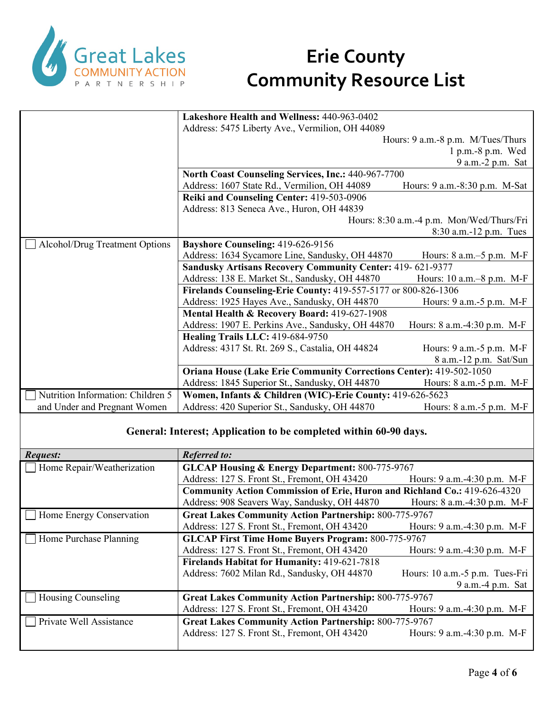

|                                   | Lakeshore Health and Wellness: 440-963-0402                                |                                           |  |
|-----------------------------------|----------------------------------------------------------------------------|-------------------------------------------|--|
|                                   | Address: 5475 Liberty Ave., Vermilion, OH 44089                            |                                           |  |
|                                   |                                                                            | Hours: 9 a.m.-8 p.m. M/Tues/Thurs         |  |
|                                   |                                                                            | $1 p.m.-8 p.m.$ Wed                       |  |
|                                   |                                                                            | 9 a.m. - 2 p.m. Sat                       |  |
|                                   | North Coast Counseling Services, Inc.: 440-967-7700                        |                                           |  |
|                                   | Address: 1607 State Rd., Vermilion, OH 44089                               | Hours: 9 a.m.-8:30 p.m. M-Sat             |  |
|                                   | Reiki and Counseling Center: 419-503-0906                                  |                                           |  |
|                                   | Address: 813 Seneca Ave., Huron, OH 44839                                  |                                           |  |
|                                   |                                                                            | Hours: 8:30 a.m.-4 p.m. Mon/Wed/Thurs/Fri |  |
|                                   |                                                                            | $8:30$ a.m.-12 p.m. Tues                  |  |
| Alcohol/Drug Treatment Options    | Bayshore Counseling: 419-626-9156                                          |                                           |  |
|                                   | Address: 1634 Sycamore Line, Sandusky, OH 44870                            | Hours: $8$ a.m. $-5$ p.m. M-F             |  |
|                                   | <b>Sandusky Artisans Recovery Community Center: 419-621-9377</b>           |                                           |  |
|                                   | Address: 138 E. Market St., Sandusky, OH 44870                             | Hours: 10 a.m. - 8 p.m. M-F               |  |
|                                   | Firelands Counseling-Erie County: 419-557-5177 or 800-826-1306             |                                           |  |
|                                   | Address: 1925 Hayes Ave., Sandusky, OH 44870                               | Hours: 9 a.m.-5 p.m. M-F                  |  |
|                                   | Mental Health & Recovery Board: 419-627-1908                               |                                           |  |
|                                   | Address: 1907 E. Perkins Ave., Sandusky, OH 44870                          | Hours: 8 a.m. -4:30 p.m. M-F              |  |
|                                   | Healing Trails LLC: 419-684-9750                                           |                                           |  |
|                                   | Address: 4317 St. Rt. 269 S., Castalia, OH 44824                           | Hours: 9 a.m. -5 p.m. M-F                 |  |
|                                   |                                                                            | 8 a.m.-12 p.m. Sat/Sun                    |  |
|                                   | <b>Oriana House (Lake Erie Community Corrections Center): 419-502-1050</b> |                                           |  |
|                                   | Address: 1845 Superior St., Sandusky, OH 44870                             | Hours: 8 a.m.-5 p.m. M-F                  |  |
| Nutrition Information: Children 5 | Women, Infants & Children (WIC)-Erie County: 419-626-5623                  |                                           |  |
| and Under and Pregnant Women      | Address: 420 Superior St., Sandusky, OH 44870                              | Hours: 8 a.m. - 5 p.m. M-F                |  |

#### **General: Interest; Application to be completed within 60-90 days.**

| Request:                   | <b>Referred to:</b>                                                       |                                |  |
|----------------------------|---------------------------------------------------------------------------|--------------------------------|--|
| Home Repair/Weatherization | <b>GLCAP Housing &amp; Energy Department: 800-775-9767</b>                |                                |  |
|                            | Address: 127 S. Front St., Fremont, OH 43420                              | Hours: 9 a.m. -4:30 p.m. M-F   |  |
|                            | Community Action Commission of Erie, Huron and Richland Co.: 419-626-4320 |                                |  |
|                            | Address: 908 Seavers Way, Sandusky, OH 44870                              | Hours: 8 a.m.-4:30 p.m. M-F    |  |
| Home Energy Conservation   | <b>Great Lakes Community Action Partnership: 800-775-9767</b>             |                                |  |
|                            | Address: 127 S. Front St., Fremont, OH 43420                              | Hours: 9 a.m. -4:30 p.m. M-F   |  |
| Home Purchase Planning     | <b>GLCAP First Time Home Buyers Program: 800-775-9767</b>                 |                                |  |
|                            | Address: 127 S. Front St., Fremont, OH 43420                              | Hours: 9 a.m. -4:30 p.m. M-F   |  |
|                            | <b>Firelands Habitat for Humanity: 419-621-7818</b>                       |                                |  |
|                            | Address: 7602 Milan Rd., Sandusky, OH 44870                               | Hours: 10 a.m.-5 p.m. Tues-Fri |  |
|                            |                                                                           | 9 a.m. -4 p.m. Sat             |  |
| Housing Counseling         | <b>Great Lakes Community Action Partnership: 800-775-9767</b>             |                                |  |
|                            | Address: 127 S. Front St., Fremont, OH 43420                              | Hours: 9 a.m.-4:30 p.m. M-F    |  |
| Private Well Assistance    | <b>Great Lakes Community Action Partnership: 800-775-9767</b>             |                                |  |
|                            | Address: 127 S. Front St., Fremont, OH 43420                              | Hours: 9 a.m.-4:30 p.m. M-F    |  |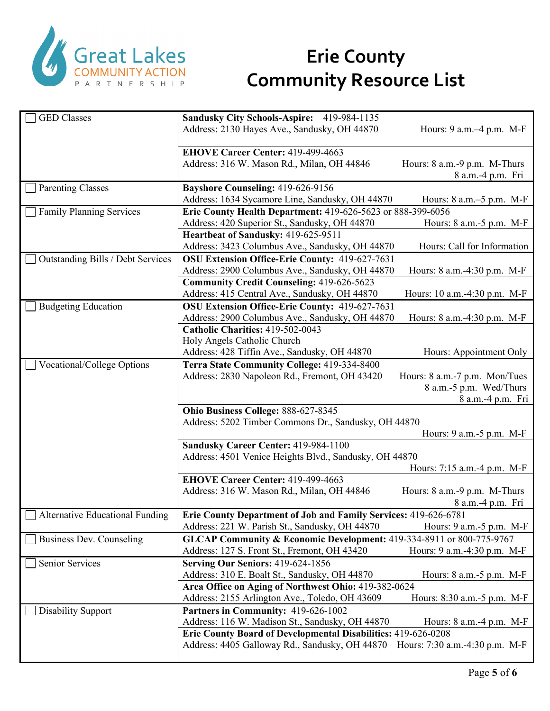

| <b>GED</b> Classes                     | Sandusky City Schools-Aspire: 419-984-1135                                                                      |                                                   |
|----------------------------------------|-----------------------------------------------------------------------------------------------------------------|---------------------------------------------------|
|                                        | Address: 2130 Hayes Ave., Sandusky, OH 44870                                                                    | Hours: 9 a.m. -4 p.m. M-F                         |
|                                        | EHOVE Career Center: 419-499-4663                                                                               |                                                   |
|                                        | Address: 316 W. Mason Rd., Milan, OH 44846                                                                      | Hours: 8 a.m.-9 p.m. M-Thurs<br>8 a.m.-4 p.m. Fri |
| <b>Parenting Classes</b>               | Bayshore Counseling: 419-626-9156                                                                               |                                                   |
|                                        | Address: 1634 Sycamore Line, Sandusky, OH 44870                                                                 | Hours: 8 a.m.–5 p.m. M-F                          |
| <b>Family Planning Services</b>        | Erie County Health Department: 419-626-5623 or 888-399-6056                                                     |                                                   |
|                                        | Address: 420 Superior St., Sandusky, OH 44870                                                                   | Hours: 8 a.m.-5 p.m. M-F                          |
|                                        | Heartbeat of Sandusky: 419-625-9511                                                                             |                                                   |
|                                        | Address: 3423 Columbus Ave., Sandusky, OH 44870                                                                 | Hours: Call for Information                       |
| Outstanding Bills / Debt Services      | OSU Extension Office-Erie County: 419-627-7631                                                                  |                                                   |
|                                        | Address: 2900 Columbus Ave., Sandusky, OH 44870                                                                 | Hours: 8 a.m.-4:30 p.m. M-F                       |
|                                        | <b>Community Credit Counseling: 419-626-5623</b>                                                                |                                                   |
|                                        | Address: 415 Central Ave., Sandusky, OH 44870                                                                   | Hours: 10 a.m.-4:30 p.m. M-F                      |
| <b>Budgeting Education</b>             | OSU Extension Office-Erie County: 419-627-7631                                                                  |                                                   |
|                                        | Address: 2900 Columbus Ave., Sandusky, OH 44870                                                                 | Hours: 8 a.m.-4:30 p.m. M-F                       |
|                                        | Catholic Charities: 419-502-0043                                                                                |                                                   |
|                                        | Holy Angels Catholic Church                                                                                     |                                                   |
|                                        | Address: 428 Tiffin Ave., Sandusky, OH 44870                                                                    | Hours: Appointment Only                           |
| <b>Vocational/College Options</b>      | Terra State Community College: 419-334-8400                                                                     |                                                   |
|                                        | Address: 2830 Napoleon Rd., Fremont, OH 43420                                                                   | Hours: 8 a.m.-7 p.m. Mon/Tues                     |
|                                        |                                                                                                                 | 8 a.m.-5 p.m. Wed/Thurs<br>8 a.m.-4 p.m. Fri      |
|                                        | Ohio Business College: 888-627-8345                                                                             |                                                   |
|                                        | Address: 5202 Timber Commons Dr., Sandusky, OH 44870                                                            |                                                   |
|                                        |                                                                                                                 | Hours: 9 a.m. - 5 p.m. M-F                        |
|                                        | Sandusky Career Center: 419-984-1100                                                                            |                                                   |
|                                        | Address: 4501 Venice Heights Blvd., Sandusky, OH 44870                                                          |                                                   |
|                                        |                                                                                                                 | Hours: 7:15 a.m.-4 p.m. M-F                       |
|                                        | EHOVE Career Center: 419-499-4663                                                                               |                                                   |
|                                        | Address: 316 W. Mason Rd., Milan, OH 44846                                                                      | Hours: 8 a.m.-9 p.m. M-Thurs                      |
|                                        |                                                                                                                 | 8 a.m.-4 p.m. Fri                                 |
| <b>Alternative Educational Funding</b> | <b>Erie County Department of Job and Family Services: 419-626-6781</b>                                          |                                                   |
|                                        | Address: 221 W. Parish St., Sandusky, OH 44870                                                                  | Hours: $9$ a.m. $-5$ p.m. M-F                     |
| Business Dev. Counseling               | GLCAP Community & Economic Development: 419-334-8911 or 800-775-9767                                            |                                                   |
|                                        | Address: 127 S. Front St., Fremont, OH 43420                                                                    | Hours: 9 a.m.-4:30 p.m. M-F                       |
| Senior Services                        | Serving Our Seniors: 419-624-1856                                                                               |                                                   |
|                                        | Address: 310 E. Boalt St., Sandusky, OH 44870                                                                   | Hours: 8 a.m. - 5 p.m. M-F                        |
|                                        | Area Office on Aging of Northwest Ohio: 419-382-0624                                                            |                                                   |
|                                        | Address: 2155 Arlington Ave., Toledo, OH 43609                                                                  | Hours: 8:30 a.m.-5 p.m. M-F                       |
| <b>Disability Support</b>              | Partners in Community: 419-626-1002                                                                             |                                                   |
|                                        |                                                                                                                 |                                                   |
|                                        | Address: 116 W. Madison St., Sandusky, OH 44870                                                                 | Hours: $8$ a.m. $-4$ p.m. M-F                     |
|                                        | Erie County Board of Developmental Disabilities: 419-626-0208<br>Address: 4405 Galloway Rd., Sandusky, OH 44870 | Hours: 7:30 a.m.-4:30 p.m. M-F                    |